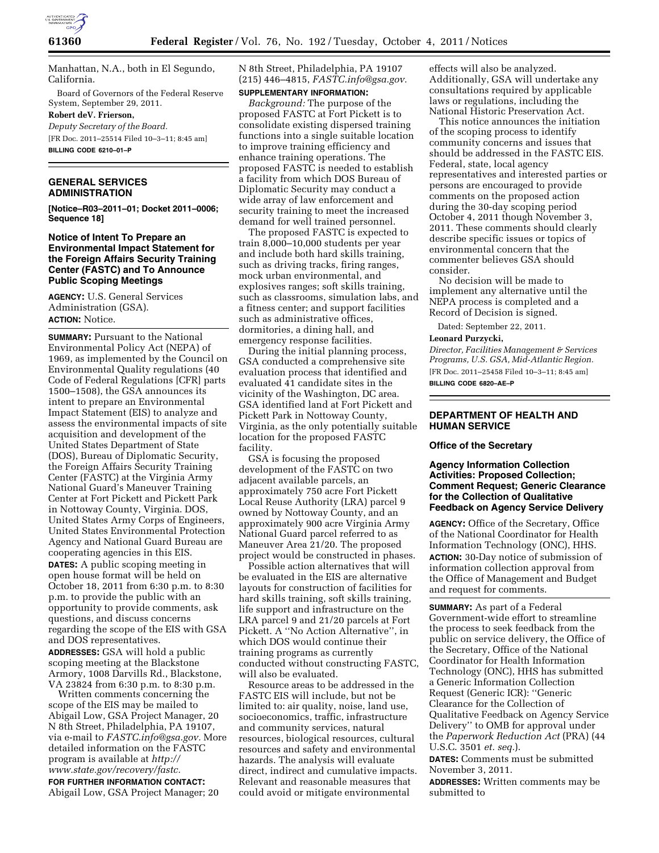

Manhattan, N.A., both in El Segundo, California.

Board of Governors of the Federal Reserve System, September 29, 2011.

## **Robert deV. Frierson,**

*Deputy Secretary of the Board.* 

[FR Doc. 2011–25514 Filed 10–3–11; 8:45 am] **BILLING CODE 6210–01–P** 

# **GENERAL SERVICES ADMINISTRATION**

**[Notice–R03–2011–01; Docket 2011–0006; Sequence 18]** 

# **Notice of Intent To Prepare an Environmental Impact Statement for the Foreign Affairs Security Training Center (FASTC) and To Announce Public Scoping Meetings**

**AGENCY:** U.S. General Services Administration (GSA). **ACTION:** Notice.

**SUMMARY:** Pursuant to the National Environmental Policy Act (NEPA) of 1969, as implemented by the Council on Environmental Quality regulations (40 Code of Federal Regulations [CFR] parts 1500–1508), the GSA announces its intent to prepare an Environmental Impact Statement (EIS) to analyze and assess the environmental impacts of site acquisition and development of the United States Department of State (DOS), Bureau of Diplomatic Security, the Foreign Affairs Security Training Center (FASTC) at the Virginia Army National Guard's Maneuver Training Center at Fort Pickett and Pickett Park in Nottoway County, Virginia. DOS, United States Army Corps of Engineers, United States Environmental Protection Agency and National Guard Bureau are cooperating agencies in this EIS. **DATES:** A public scoping meeting in open house format will be held on October 18, 2011 from 6:30 p.m. to 8:30 p.m. to provide the public with an opportunity to provide comments, ask questions, and discuss concerns regarding the scope of the EIS with GSA and DOS representatives. **ADDRESSES:** GSA will hold a public scoping meeting at the Blackstone Armory, 1008 Darvills Rd., Blackstone, VA 23824 from 6:30 p.m. to 8:30 p.m.

Written comments concerning the scope of the EIS may be mailed to Abigail Low, GSA Project Manager, 20 N 8th Street, Philadelphia, PA 19107, via e-mail to *[FASTC.info@gsa.gov.](mailto:FASTC.info@gsa.gov)* More detailed information on the FASTC program is available at *[http://](http://www.state.gov/recovery/fastc) [www.state.gov/recovery/fastc.](http://www.state.gov/recovery/fastc)* 

**FOR FURTHER INFORMATION CONTACT:**  Abigail Low, GSA Project Manager; 20 N 8th Street, Philadelphia, PA 19107 (215) 446–4815, *[FASTC.info@gsa.gov.](mailto:FASTC.info@gsa.gov)* 

# **SUPPLEMENTARY INFORMATION:**

*Background:* The purpose of the proposed FASTC at Fort Pickett is to consolidate existing dispersed training functions into a single suitable location to improve training efficiency and enhance training operations. The proposed FASTC is needed to establish a facility from which DOS Bureau of Diplomatic Security may conduct a wide array of law enforcement and security training to meet the increased demand for well trained personnel.

The proposed FASTC is expected to train 8,000–10,000 students per year and include both hard skills training, such as driving tracks, firing ranges, mock urban environmental, and explosives ranges; soft skills training, such as classrooms, simulation labs, and a fitness center; and support facilities such as administrative offices, dormitories, a dining hall, and emergency response facilities.

During the initial planning process, GSA conducted a comprehensive site evaluation process that identified and evaluated 41 candidate sites in the vicinity of the Washington, DC area. GSA identified land at Fort Pickett and Pickett Park in Nottoway County, Virginia, as the only potentially suitable location for the proposed FASTC facility.

GSA is focusing the proposed development of the FASTC on two adjacent available parcels, an approximately 750 acre Fort Pickett Local Reuse Authority (LRA) parcel 9 owned by Nottoway County, and an approximately 900 acre Virginia Army National Guard parcel referred to as Maneuver Area 21/20. The proposed project would be constructed in phases.

Possible action alternatives that will be evaluated in the EIS are alternative layouts for construction of facilities for hard skills training, soft skills training, life support and infrastructure on the LRA parcel 9 and 21/20 parcels at Fort Pickett. A ''No Action Alternative'', in which DOS would continue their training programs as currently conducted without constructing FASTC, will also be evaluated.

Resource areas to be addressed in the FASTC EIS will include, but not be limited to: air quality, noise, land use, socioeconomics, traffic, infrastructure and community services, natural resources, biological resources, cultural resources and safety and environmental hazards. The analysis will evaluate direct, indirect and cumulative impacts. Relevant and reasonable measures that could avoid or mitigate environmental

effects will also be analyzed. Additionally, GSA will undertake any consultations required by applicable laws or regulations, including the National Historic Preservation Act.

This notice announces the initiation of the scoping process to identify community concerns and issues that should be addressed in the FASTC EIS. Federal, state, local agency representatives and interested parties or persons are encouraged to provide comments on the proposed action during the 30-day scoping period October 4, 2011 though November 3, 2011. These comments should clearly describe specific issues or topics of environmental concern that the commenter believes GSA should consider.

No decision will be made to implement any alternative until the NEPA process is completed and a Record of Decision is signed.

Dated: September 22, 2011.

### **Leonard Purzycki,**

*Director, Facilities Management & Services Programs, U.S. GSA, Mid-Atlantic Region.*  [FR Doc. 2011–25458 Filed 10–3–11; 8:45 am] **BILLING CODE 6820–AE–P** 

# **DEPARTMENT OF HEALTH AND HUMAN SERVICE**

### **Office of the Secretary**

## **Agency Information Collection Activities: Proposed Collection; Comment Request; Generic Clearance for the Collection of Qualitative Feedback on Agency Service Delivery**

**AGENCY:** Office of the Secretary, Office of the National Coordinator for Health Information Technology (ONC), HHS. **ACTION:** 30-Day notice of submission of information collection approval from the Office of Management and Budget and request for comments.

**SUMMARY:** As part of a Federal Government-wide effort to streamline the process to seek feedback from the public on service delivery, the Office of the Secretary, Office of the National Coordinator for Health Information Technology (ONC), HHS has submitted a Generic Information Collection Request (Generic ICR): ''Generic Clearance for the Collection of Qualitative Feedback on Agency Service Delivery'' to OMB for approval under the *Paperwork Reduction Act* (PRA) (44 U.S.C. 3501 *et. seq.*).

**DATES:** Comments must be submitted November 3, 2011.

**ADDRESSES:** Written comments may be submitted to